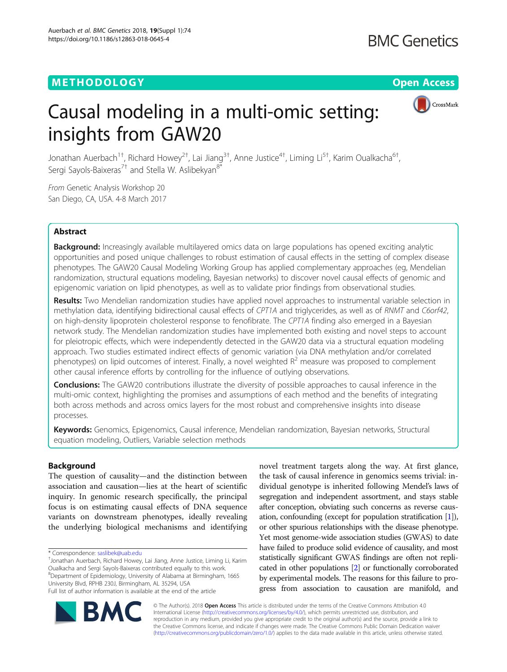# METHODOLOGY AND THE SERVICE SERVICES AND THE SERVICE SERVICES AND THE SERVICES OPEN ACCESS



# Causal modeling in a multi-omic setting: insights from GAW20

Jonathan Auerbach<sup>1†</sup>, Richard Howey<sup>2†</sup>, Lai Jiang<sup>3†</sup>, Anne Justice<sup>4†</sup>, Liming Li<sup>5†</sup>, Karim Oualkacha<sup>6†</sup> , Sergi Sayols-Baixeras<sup>7+</sup> and Stella W. Aslibekyan<sup>8\*</sup>

From Genetic Analysis Workshop 20 San Diego, CA, USA. 4-8 March 2017

## Abstract

**Background:** Increasingly available multilayered omics data on large populations has opened exciting analytic opportunities and posed unique challenges to robust estimation of causal effects in the setting of complex disease phenotypes. The GAW20 Causal Modeling Working Group has applied complementary approaches (eg, Mendelian randomization, structural equations modeling, Bayesian networks) to discover novel causal effects of genomic and epigenomic variation on lipid phenotypes, as well as to validate prior findings from observational studies.

Results: Two Mendelian randomization studies have applied novel approaches to instrumental variable selection in methylation data, identifying bidirectional causal effects of CPT1A and triglycerides, as well as of RNMT and C6orf42, on high-density lipoprotein cholesterol response to fenofibrate. The CPT1A finding also emerged in a Bayesian network study. The Mendelian randomization studies have implemented both existing and novel steps to account for pleiotropic effects, which were independently detected in the GAW20 data via a structural equation modeling approach. Two studies estimated indirect effects of genomic variation (via DNA methylation and/or correlated phenotypes) on lipid outcomes of interest. Finally, a novel weighted  $R<sup>2</sup>$  measure was proposed to complement other causal inference efforts by controlling for the influence of outlying observations.

Conclusions: The GAW20 contributions illustrate the diversity of possible approaches to causal inference in the multi-omic context, highlighting the promises and assumptions of each method and the benefits of integrating both across methods and across omics layers for the most robust and comprehensive insights into disease processes.

Keywords: Genomics, Epigenomics, Causal inference, Mendelian randomization, Bayesian networks, Structural equation modeling, Outliers, Variable selection methods

### Background

The question of causality—and the distinction between association and causation—lies at the heart of scientific inquiry. In genomic research specifically, the principal focus is on estimating causal effects of DNA sequence variants on downstream phenotypes, ideally revealing the underlying biological mechanisms and identifying

Jonathan Auerbach, Richard Howey, Lai Jiang, Anne Justice, Liming Li, Karim Oualkacha and Sergi Sayols-Baixeras contributed equally to this work. 8 Department of Epidemiology, University of Alabama at Birmingham, 1665 University Blvd, RPHB 230J, Birmingham, AL 35294, USA Full list of author information is available at the end of the article

novel treatment targets along the way. At first glance, the task of causal inference in genomics seems trivial: individual genotype is inherited following Mendel's laws of segregation and independent assortment, and stays stable after conception, obviating such concerns as reverse causation, confounding (except for population stratification [[1](#page-5-0)]), or other spurious relationships with the disease phenotype. Yet most genome-wide association studies (GWAS) to date have failed to produce solid evidence of causality, and most statistically significant GWAS findings are often not replicated in other populations [[2](#page-5-0)] or functionally corroborated by experimental models. The reasons for this failure to progress from association to causation are manifold, and



© The Author(s). 2018 Open Access This article is distributed under the terms of the Creative Commons Attribution 4.0 International License [\(http://creativecommons.org/licenses/by/4.0/](http://creativecommons.org/licenses/by/4.0/)), which permits unrestricted use, distribution, and reproduction in any medium, provided you give appropriate credit to the original author(s) and the source, provide a link to the Creative Commons license, and indicate if changes were made. The Creative Commons Public Domain Dedication waiver [\(http://creativecommons.org/publicdomain/zero/1.0/](http://creativecommons.org/publicdomain/zero/1.0/)) applies to the data made available in this article, unless otherwise stated.

<sup>\*</sup> Correspondence: [saslibek@uab.edu](mailto:saslibek@uab.edu) †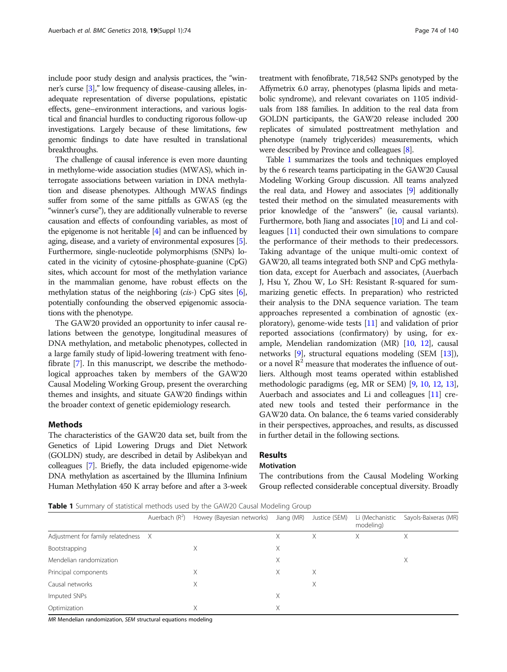<span id="page-1-0"></span>include poor study design and analysis practices, the "winner's curse [\[3\]](#page-5-0)," low frequency of disease-causing alleles, inadequate representation of diverse populations, epistatic effects, gene–environment interactions, and various logistical and financial hurdles to conducting rigorous follow-up investigations. Largely because of these limitations, few genomic findings to date have resulted in translational breakthroughs.

The challenge of causal inference is even more daunting in methylome-wide association studies (MWAS), which interrogate associations between variation in DNA methylation and disease phenotypes. Although MWAS findings suffer from some of the same pitfalls as GWAS (eg the "winner's curse"), they are additionally vulnerable to reverse causation and effects of confounding variables, as most of the epigenome is not heritable [[4](#page-5-0)] and can be influenced by aging, disease, and a variety of environmental exposures [[5](#page-6-0)]. Furthermore, single-nucleotide polymorphisms (SNPs) located in the vicinity of cytosine-phosphate-guanine (CpG) sites, which account for most of the methylation variance in the mammalian genome, have robust effects on the methylation status of the neighboring (cis-) CpG sites [[6](#page-6-0)], potentially confounding the observed epigenomic associations with the phenotype.

The GAW20 provided an opportunity to infer causal relations between the genotype, longitudinal measures of DNA methylation, and metabolic phenotypes, collected in a large family study of lipid-lowering treatment with fenofibrate [[7\]](#page-6-0). In this manuscript, we describe the methodological approaches taken by members of the GAW20 Causal Modeling Working Group, present the overarching themes and insights, and situate GAW20 findings within the broader context of genetic epidemiology research.

#### **Methods**

The characteristics of the GAW20 data set, built from the Genetics of Lipid Lowering Drugs and Diet Network (GOLDN) study, are described in detail by Aslibekyan and colleagues [\[7\]](#page-6-0). Briefly, the data included epigenome-wide DNA methylation as ascertained by the Illumina Infinium Human Methylation 450 K array before and after a 3-week treatment with fenofibrate, 718,542 SNPs genotyped by the Affymetrix 6.0 array, phenotypes (plasma lipids and metabolic syndrome), and relevant covariates on 1105 individuals from 188 families. In addition to the real data from GOLDN participants, the GAW20 release included 200 replicates of simulated posttreatment methylation and phenotype (namely triglycerides) measurements, which were described by Province and colleagues [[8](#page-6-0)].

Table 1 summarizes the tools and techniques employed by the 6 research teams participating in the GAW20 Causal Modeling Working Group discussion. All teams analyzed the real data, and Howey and associates [[9](#page-6-0)] additionally tested their method on the simulated measurements with prior knowledge of the "answers" (ie, causal variants). Furthermore, both Jiang and associates [[10](#page-6-0)] and Li and colleagues [[11\]](#page-6-0) conducted their own simulations to compare the performance of their methods to their predecessors. Taking advantage of the unique multi-omic context of GAW20, all teams integrated both SNP and CpG methylation data, except for Auerbach and associates, (Auerbach J, Hsu Y, Zhou W, Lo SH: Resistant R-squared for summarizing genetic effects. In preparation) who restricted their analysis to the DNA sequence variation. The team approaches represented a combination of agnostic (exploratory), genome-wide tests [\[11\]](#page-6-0) and validation of prior reported associations (confirmatory) by using, for example, Mendelian randomization (MR) [\[10,](#page-6-0) [12\]](#page-6-0), causal networks [[9\]](#page-6-0), structural equations modeling (SEM [[13](#page-6-0)]), or a novel  $\mathbb{R}^2$  measure that moderates the influence of outliers. Although most teams operated within established methodologic paradigms (eg, MR or SEM) [[9,](#page-6-0) [10](#page-6-0), [12](#page-6-0), [13](#page-6-0)], Auerbach and associates and Li and colleagues [\[11\]](#page-6-0) created new tools and tested their performance in the GAW20 data. On balance, the 6 teams varied considerably in their perspectives, approaches, and results, as discussed in further detail in the following sections.

### Results

#### Motivation

The contributions from the Causal Modeling Working Group reflected considerable conceptual diversity. Broadly

**Table 1** Summary of statistical methods used by the GAW20 Causal Modeling Group

|                                     | Auerbach $(R^2)$ | Howey (Bayesian networks) Jiang (MR) |   | Justice (SEM) | Li (Mechanistic<br>modeling) | Sayols-Baixeras (MR) |
|-------------------------------------|------------------|--------------------------------------|---|---------------|------------------------------|----------------------|
| Adjustment for family relatedness X |                  |                                      | Χ | Χ             | Х                            |                      |
| Bootstrapping                       |                  | Х                                    | Χ |               |                              |                      |
| Mendelian randomization             |                  |                                      | Χ |               |                              | Х                    |
| Principal components                |                  | Χ                                    | Χ | Χ             |                              |                      |
| Causal networks                     |                  | Χ                                    |   | Χ             |                              |                      |
| Imputed SNPs                        |                  |                                      | Х |               |                              |                      |
| Optimization                        |                  |                                      | Χ |               |                              |                      |

MR Mendelian randomization, SEM structural equations modeling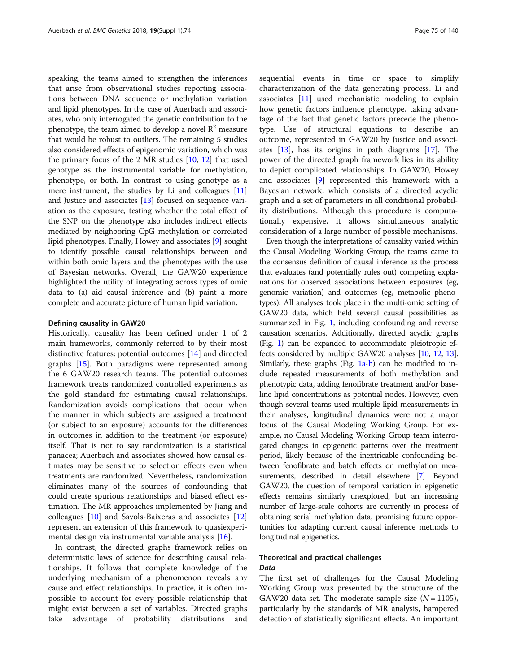speaking, the teams aimed to strengthen the inferences that arise from observational studies reporting associations between DNA sequence or methylation variation and lipid phenotypes. In the case of Auerbach and associates, who only interrogated the genetic contribution to the phenotype, the team aimed to develop a novel  $\mathbb{R}^2$  measure that would be robust to outliers. The remaining 5 studies also considered effects of epigenomic variation, which was the primary focus of the 2 MR studies  $[10, 12]$  $[10, 12]$  $[10, 12]$  $[10, 12]$  that used genotype as the instrumental variable for methylation, phenotype, or both. In contrast to using genotype as a mere instrument, the studies by Li and colleagues [[11](#page-6-0)] and Justice and associates [\[13\]](#page-6-0) focused on sequence variation as the exposure, testing whether the total effect of the SNP on the phenotype also includes indirect effects mediated by neighboring CpG methylation or correlated lipid phenotypes. Finally, Howey and associates [[9\]](#page-6-0) sought to identify possible causal relationships between and within both omic layers and the phenotypes with the use of Bayesian networks. Overall, the GAW20 experience highlighted the utility of integrating across types of omic data to (a) aid causal inference and (b) paint a more complete and accurate picture of human lipid variation.

#### Defining causality in GAW20

Historically, causality has been defined under 1 of 2 main frameworks, commonly referred to by their most distinctive features: potential outcomes [\[14](#page-6-0)] and directed graphs [\[15](#page-6-0)]. Both paradigms were represented among the 6 GAW20 research teams. The potential outcomes framework treats randomized controlled experiments as the gold standard for estimating causal relationships. Randomization avoids complications that occur when the manner in which subjects are assigned a treatment (or subject to an exposure) accounts for the differences in outcomes in addition to the treatment (or exposure) itself. That is not to say randomization is a statistical panacea; Auerbach and associates showed how causal estimates may be sensitive to selection effects even when treatments are randomized. Nevertheless, randomization eliminates many of the sources of confounding that could create spurious relationships and biased effect estimation. The MR approaches implemented by Jiang and colleagues [[10\]](#page-6-0) and Sayols-Baixeras and associates [[12](#page-6-0)] represent an extension of this framework to quasiexperimental design via instrumental variable analysis [\[16\]](#page-6-0).

In contrast, the directed graphs framework relies on deterministic laws of science for describing causal relationships. It follows that complete knowledge of the underlying mechanism of a phenomenon reveals any cause and effect relationships. In practice, it is often impossible to account for every possible relationship that might exist between a set of variables. Directed graphs take advantage of probability distributions and sequential events in time or space to simplify characterization of the data generating process. Li and associates [[11](#page-6-0)] used mechanistic modeling to explain how genetic factors influence phenotype, taking advantage of the fact that genetic factors precede the phenotype. Use of structural equations to describe an outcome, represented in GAW20 by Justice and associates [\[13](#page-6-0)], has its origins in path diagrams [[17](#page-6-0)]. The power of the directed graph framework lies in its ability to depict complicated relationships. In GAW20, Howey and associates [[9\]](#page-6-0) represented this framework with a Bayesian network, which consists of a directed acyclic graph and a set of parameters in all conditional probability distributions. Although this procedure is computationally expensive, it allows simultaneous analytic consideration of a large number of possible mechanisms.

Even though the interpretations of causality varied within the Causal Modeling Working Group, the teams came to the consensus definition of causal inference as the process that evaluates (and potentially rules out) competing explanations for observed associations between exposures (eg, genomic variation) and outcomes (eg, metabolic phenotypes). All analyses took place in the multi-omic setting of GAW20 data, which held several causal possibilities as summarized in Fig. [1,](#page-3-0) including confounding and reverse causation scenarios. Additionally, directed acyclic graphs (Fig. [1](#page-3-0)) can be expanded to accommodate pleiotropic effects considered by multiple GAW20 analyses [\[10,](#page-6-0) [12,](#page-6-0) [13](#page-6-0)]. Similarly, these graphs (Fig.  $1a-h$ ) can be modified to include repeated measurements of both methylation and phenotypic data, adding fenofibrate treatment and/or baseline lipid concentrations as potential nodes. However, even though several teams used multiple lipid measurements in their analyses, longitudinal dynamics were not a major focus of the Causal Modeling Working Group. For example, no Causal Modeling Working Group team interrogated changes in epigenetic patterns over the treatment period, likely because of the inextricable confounding between fenofibrate and batch effects on methylation measurements, described in detail elsewhere [\[7\]](#page-6-0). Beyond GAW20, the question of temporal variation in epigenetic effects remains similarly unexplored, but an increasing number of large-scale cohorts are currently in process of obtaining serial methylation data, promising future opportunities for adapting current causal inference methods to longitudinal epigenetics.

#### Theoretical and practical challenges Data

The first set of challenges for the Causal Modeling Working Group was presented by the structure of the GAW20 data set. The moderate sample size  $(N = 1105)$ , particularly by the standards of MR analysis, hampered detection of statistically significant effects. An important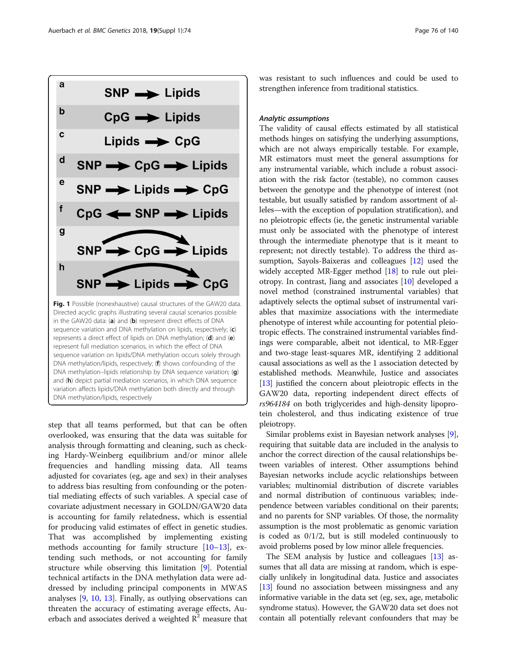<span id="page-3-0"></span>

step that all teams performed, but that can be often overlooked, was ensuring that the data was suitable for analysis through formatting and cleaning, such as checking Hardy-Weinberg equilibrium and/or minor allele frequencies and handling missing data. All teams adjusted for covariates (eg, age and sex) in their analyses to address bias resulting from confounding or the potential mediating effects of such variables. A special case of covariate adjustment necessary in GOLDN/GAW20 data is accounting for family relatedness, which is essential for producing valid estimates of effect in genetic studies. That was accomplished by implementing existing methods accounting for family structure [\[10](#page-6-0)–[13\]](#page-6-0), extending such methods, or not accounting for family structure while observing this limitation [[9\]](#page-6-0). Potential technical artifacts in the DNA methylation data were addressed by including principal components in MWAS analyses [\[9](#page-6-0), [10,](#page-6-0) [13](#page-6-0)]. Finally, as outlying observations can threaten the accuracy of estimating average effects, Auerbach and associates derived a weighted  $\mathbb{R}^2$  measure that was resistant to such influences and could be used to strengthen inference from traditional statistics.

#### Analytic assumptions

The validity of causal effects estimated by all statistical methods hinges on satisfying the underlying assumptions, which are not always empirically testable. For example, MR estimators must meet the general assumptions for any instrumental variable, which include a robust association with the risk factor (testable), no common causes between the genotype and the phenotype of interest (not testable, but usually satisfied by random assortment of alleles—with the exception of population stratification), and no pleiotropic effects (ie, the genetic instrumental variable must only be associated with the phenotype of interest through the intermediate phenotype that is it meant to represent; not directly testable). To address the third assumption, Sayols-Baixeras and colleagues [[12\]](#page-6-0) used the widely accepted MR-Egger method [\[18\]](#page-6-0) to rule out pleiotropy. In contrast, Jiang and associates [\[10\]](#page-6-0) developed a novel method (constrained instrumental variables) that adaptively selects the optimal subset of instrumental variables that maximize associations with the intermediate phenotype of interest while accounting for potential pleiotropic effects. The constrained instrumental variables findings were comparable, albeit not identical, to MR-Egger and two-stage least-squares MR, identifying 2 additional causal associations as well as the 1 association detected by established methods. Meanwhile, Justice and associates [[13](#page-6-0)] justified the concern about pleiotropic effects in the GAW20 data, reporting independent direct effects of rs964184 on both triglycerides and high-density lipoprotein cholesterol, and thus indicating existence of true pleiotropy.

Similar problems exist in Bayesian network analyses [[9](#page-6-0)], requiring that suitable data are included in the analysis to anchor the correct direction of the causal relationships between variables of interest. Other assumptions behind Bayesian networks include acyclic relationships between variables; multinomial distribution of discrete variables and normal distribution of continuous variables; independence between variables conditional on their parents; and no parents for SNP variables. Of those, the normality assumption is the most problematic as genomic variation is coded as 0/1/2, but is still modeled continuously to avoid problems posed by low minor allele frequencies.

The SEM analysis by Justice and colleagues [[13\]](#page-6-0) assumes that all data are missing at random, which is especially unlikely in longitudinal data. Justice and associates [[13](#page-6-0)] found no association between missingness and any informative variable in the data set (eg, sex, age, metabolic syndrome status). However, the GAW20 data set does not contain all potentially relevant confounders that may be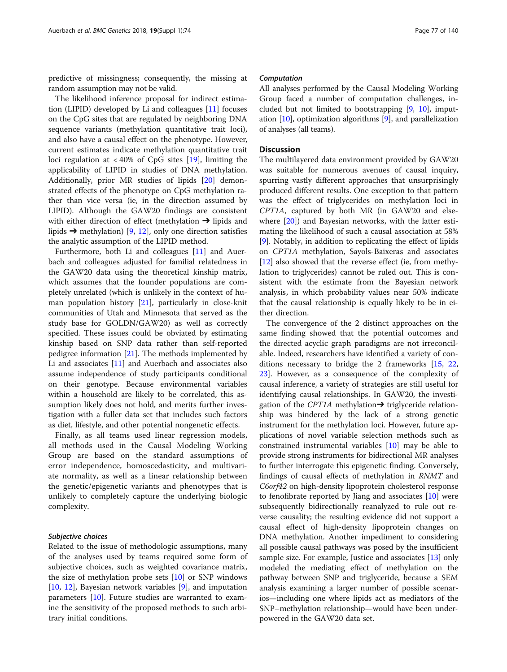predictive of missingness; consequently, the missing at random assumption may not be valid.

The likelihood inference proposal for indirect estimation (LIPID) developed by Li and colleagues [[11\]](#page-6-0) focuses on the CpG sites that are regulated by neighboring DNA sequence variants (methylation quantitative trait loci), and also have a causal effect on the phenotype. However, current estimates indicate methylation quantitative trait loci regulation at < 40% of CpG sites [\[19](#page-6-0)], limiting the applicability of LIPID in studies of DNA methylation. Additionally, prior MR studies of lipids [[20\]](#page-6-0) demonstrated effects of the phenotype on CpG methylation rather than vice versa (ie, in the direction assumed by LIPID). Although the GAW20 findings are consistent with either direction of effect (methylation  $\rightarrow$  lipids and lipids  $\rightarrow$  methylation) [[9,](#page-6-0) [12](#page-6-0)], only one direction satisfies the analytic assumption of the LIPID method.

Furthermore, both Li and colleagues [\[11](#page-6-0)] and Auerbach and colleagues adjusted for familial relatedness in the GAW20 data using the theoretical kinship matrix, which assumes that the founder populations are completely unrelated (which is unlikely in the context of human population history [[21](#page-6-0)], particularly in close-knit communities of Utah and Minnesota that served as the study base for GOLDN/GAW20) as well as correctly specified. These issues could be obviated by estimating kinship based on SNP data rather than self-reported pedigree information [[21\]](#page-6-0). The methods implemented by Li and associates [[11\]](#page-6-0) and Auerbach and associates also assume independence of study participants conditional on their genotype. Because environmental variables within a household are likely to be correlated, this assumption likely does not hold, and merits further investigation with a fuller data set that includes such factors as diet, lifestyle, and other potential nongenetic effects.

Finally, as all teams used linear regression models, all methods used in the Causal Modeling Working Group are based on the standard assumptions of error independence, homoscedasticity, and multivariate normality, as well as a linear relationship between the genetic/epigenetic variants and phenotypes that is unlikely to completely capture the underlying biologic complexity.

### Subjective choices

Related to the issue of methodologic assumptions, many of the analyses used by teams required some form of subjective choices, such as weighted covariance matrix, the size of methylation probe sets [\[10](#page-6-0)] or SNP windows [[10,](#page-6-0) [12](#page-6-0)], Bayesian network variables [[9\]](#page-6-0), and imputation parameters [\[10\]](#page-6-0). Future studies are warranted to examine the sensitivity of the proposed methods to such arbitrary initial conditions.

#### Computation

All analyses performed by the Causal Modeling Working Group faced a number of computation challenges, included but not limited to bootstrapping  $[9, 10]$  $[9, 10]$  $[9, 10]$ , imputation [\[10\]](#page-6-0), optimization algorithms [[9](#page-6-0)], and parallelization of analyses (all teams).

#### **Discussion**

The multilayered data environment provided by GAW20 was suitable for numerous avenues of causal inquiry, spurring vastly different approaches that unsurprisingly produced different results. One exception to that pattern was the effect of triglycerides on methylation loci in CPT1A, captured by both MR (in GAW20 and elsewhere [\[20](#page-6-0)]) and Bayesian networks, with the latter estimating the likelihood of such a causal association at 58% [[9\]](#page-6-0). Notably, in addition to replicating the effect of lipids on CPT1A methylation, Sayols-Baixeras and associates [[12\]](#page-6-0) also showed that the reverse effect (ie, from methylation to triglycerides) cannot be ruled out. This is consistent with the estimate from the Bayesian network analysis, in which probability values near 50% indicate that the causal relationship is equally likely to be in either direction.

The convergence of the 2 distinct approaches on the same finding showed that the potential outcomes and the directed acyclic graph paradigms are not irreconcilable. Indeed, researchers have identified a variety of conditions necessary to bridge the 2 frameworks [[15](#page-6-0), [22](#page-6-0), [23\]](#page-6-0). However, as a consequence of the complexity of causal inference, a variety of strategies are still useful for identifying causal relationships. In GAW20, the investigation of the CPT1A methylation $\rightarrow$  triglyceride relationship was hindered by the lack of a strong genetic instrument for the methylation loci. However, future applications of novel variable selection methods such as constrained instrumental variables [\[10](#page-6-0)] may be able to provide strong instruments for bidirectional MR analyses to further interrogate this epigenetic finding. Conversely, findings of causal effects of methylation in RNMT and C6orf42 on high-density lipoprotein cholesterol response to fenofibrate reported by Jiang and associates [[10\]](#page-6-0) were subsequently bidirectionally reanalyzed to rule out reverse causality; the resulting evidence did not support a causal effect of high-density lipoprotein changes on DNA methylation. Another impediment to considering all possible causal pathways was posed by the insufficient sample size. For example, Justice and associates [\[13](#page-6-0)] only modeled the mediating effect of methylation on the pathway between SNP and triglyceride, because a SEM analysis examining a larger number of possible scenarios—including one where lipids act as mediators of the SNP–methylation relationship—would have been underpowered in the GAW20 data set.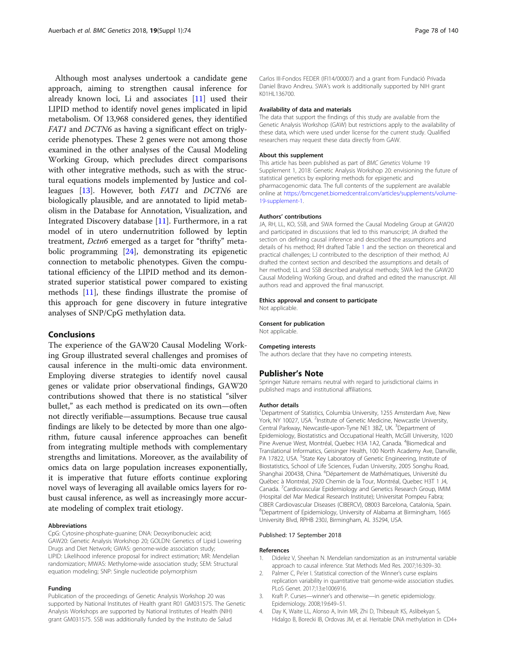<span id="page-5-0"></span>Although most analyses undertook a candidate gene approach, aiming to strengthen causal inference for already known loci, Li and associates [[11\]](#page-6-0) used their LIPID method to identify novel genes implicated in lipid metabolism. Of 13,968 considered genes, they identified FAT1 and DCTN6 as having a significant effect on triglyceride phenotypes. These 2 genes were not among those examined in the other analyses of the Causal Modeling Working Group, which precludes direct comparisons with other integrative methods, such as with the structural equations models implemented by Justice and col-leagues [\[13](#page-6-0)]. However, both FAT1 and DCTN6 are biologically plausible, and are annotated to lipid metabolism in the Database for Annotation, Visualization, and Integrated Discovery database [[11](#page-6-0)]. Furthermore, in a rat model of in utero undernutrition followed by leptin treatment, *Dctn6* emerged as a target for "thrifty" metabolic programming [\[24](#page-6-0)], demonstrating its epigenetic connection to metabolic phenotypes. Given the computational efficiency of the LIPID method and its demonstrated superior statistical power compared to existing methods [\[11](#page-6-0)], these findings illustrate the promise of this approach for gene discovery in future integrative analyses of SNP/CpG methylation data.

#### Conclusions

The experience of the GAW20 Causal Modeling Working Group illustrated several challenges and promises of causal inference in the multi-omic data environment. Employing diverse strategies to identify novel causal genes or validate prior observational findings, GAW20 contributions showed that there is no statistical "silver bullet," as each method is predicated on its own—often not directly verifiable—assumptions. Because true causal findings are likely to be detected by more than one algorithm, future causal inference approaches can benefit from integrating multiple methods with complementary strengths and limitations. Moreover, as the availability of omics data on large population increases exponentially, it is imperative that future efforts continue exploring novel ways of leveraging all available omics layers for robust causal inference, as well as increasingly more accurate modeling of complex trait etiology.

#### Abbreviations

CpG: Cytosine-phosphate-guanine; DNA: Deoxyribonucleic acid; GAW20: Genetic Analysis Workshop 20; GOLDN: Genetics of Lipid Lowering Drugs and Diet Network; GWAS: genome-wide association study; LIPID: Likelihood inference proposal for indirect estimation; MR: Mendelian randomization; MWAS: Methylome-wide association study; SEM: Structural equation modeling; SNP: Single nucleotide polymorphism

#### Funding

Publication of the proceedings of Genetic Analysis Workshop 20 was supported by National Institutes of Health grant R01 GM031575. The Genetic Analysis Workshops are supported by National Institutes of Health (NIH) grant GM031575. SSB was additionally funded by the Instituto de Salud

Carlos III-Fondos FEDER (IFI14/00007) and a grant from Fundació Privada Daniel Bravo Andreu. SWA's work is additionally supported by NIH grant K01HL136700.

#### Availability of data and materials

The data that support the findings of this study are available from the Genetic Analysis Workshop (GAW) but restrictions apply to the availability of these data, which were used under license for the current study. Qualified researchers may request these data directly from GAW.

#### About this supplement

This article has been published as part of BMC Genetics Volume 19 Supplement 1, 2018: Genetic Analysis Workshop 20: envisioning the future of statistical genetics by exploring methods for epigenetic and pharmacogenomic data. The full contents of the supplement are available online at [https://bmcgenet.biomedcentral.com/articles/supplements/volume-](https://bmcgenet.biomedcentral.com/articles/supplements/volume-19-supplement-1)[19-supplement-1.](https://bmcgenet.biomedcentral.com/articles/supplements/volume-19-supplement-1)

#### Authors' contributions

JA, RH, LL, KO, SSB, and SWA formed the Causal Modeling Group at GAW20 and participated in discussions that led to this manuscript; JA drafted the section on defining causal inference and described the assumptions and details of his method; RH drafted Table [1](#page-1-0) and the section on theoretical and practical challenges; LJ contributed to the description of their method; AJ drafted the context section and described the assumptions and details of her method; LL and SSB described analytical methods; SWA led the GAW20 Causal Modeling Working Group, and drafted and edited the manuscript. All authors read and approved the final manuscript.

#### Ethics approval and consent to participate

Not applicable.

Consent for publication Not applicable.

#### Competing interests

The authors declare that they have no competing interests.

#### Publisher's Note

Springer Nature remains neutral with regard to jurisdictional claims in published maps and institutional affiliations.

#### Author details

<sup>1</sup>Department of Statistics, Columbia University, 1255 Amsterdam Ave, New York, NY 10027, USA. <sup>2</sup>Institute of Genetic Medicine, Newcastle University, Central Parkway, Newcastle-upon-Tyne NE1 3BZ, UK. <sup>3</sup>Department of Epidemiology, Biostatistics and Occupational Health, McGill University, 1020 Pine Avenue West, Montréal, Quebec H3A 1A2, Canada. <sup>4</sup>Biomedical and Translational Informatics, Geisinger Health, 100 North Academy Ave, Danville, PA 17822, USA. <sup>5</sup>State Key Laboratory of Genetic Engineering, Institute of Biostatistics, School of Life Sciences, Fudan University, 2005 Songhu Road, Shanghai 200438, China. <sup>6</sup>Département de Mathématiques, Université du Québec à Montréal, 2920 Chemin de la Tour, Montréal, Quebec H3T 1 J4, Canada. <sup>7</sup>Cardiovascular Epidemiology and Genetics Research Group, IMIM (Hospital del Mar Medical Research Institute); Universitat Pompeu Fabra; CIBER Cardiovascular Diseases (CIBERCV), 08003 Barcelona, Catalonia, Spain. 8 Department of Epidemiology, University of Alabama at Birmingham, 1665 University Blvd, RPHB 230J, Birmingham, AL 35294, USA.

#### Published: 17 September 2018

#### References

- 1. Didelez V, Sheehan N. Mendelian randomization as an instrumental variable approach to causal inference. Stat Methods Med Res. 2007;16:309–30.
- 2. Palmer C, Pe'er I. Statistical correction of the Winner's curse explains replication variability in quantitative trait genome-wide association studies. PLoS Genet. 2017;13:e1006916.
- 3. Kraft P. Curses—winner's and otherwise—in genetic epidemiology. Epidemiology. 2008;19:649–51.
- 4. Day K, Waite LL, Alonso A, Irvin MR, Zhi D, Thibeault KS, Aslibekyan S, Hidalgo B, Borecki IB, Ordovas JM, et al. Heritable DNA methylation in CD4+